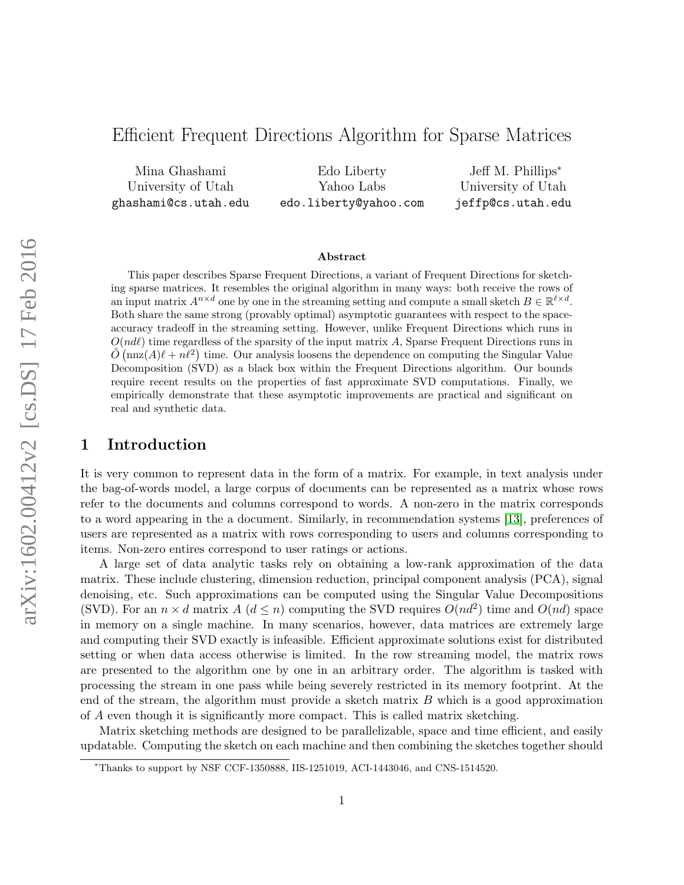# Efficient Frequent Directions Algorithm for Sparse Matrices

Mina Ghashami University of Utah ghashami@cs.utah.edu

Edo Liberty Yahoo Labs edo.liberty@yahoo.com

Jeff M. Phillips<sup>∗</sup> University of Utah jeffp@cs.utah.edu

#### Abstract

This paper describes Sparse Frequent Directions, a variant of Frequent Directions for sketching sparse matrices. It resembles the original algorithm in many ways: both receive the rows of an input matrix  $A^{n \times d}$  one by one in the streaming setting and compute a small sketch  $B \in \mathbb{R}^{\ell \times d}$ . Both share the same strong (provably optimal) asymptotic guarantees with respect to the spaceaccuracy tradeoff in the streaming setting. However, unlike Frequent Directions which runs in  $O(nd)$  time regardless of the sparsity of the input matrix A, Sparse Frequent Directions runs in  $\tilde{O}(\text{nnz}(A)\ell + n\ell^2)$  time. Our analysis loosens the dependence on computing the Singular Value Decomposition (SVD) as a black box within the Frequent Directions algorithm. Our bounds require recent results on the properties of fast approximate SVD computations. Finally, we empirically demonstrate that these asymptotic improvements are practical and significant on real and synthetic data.

## 1 Introduction

It is very common to represent data in the form of a matrix. For example, in text analysis under the bag-of-words model, a large corpus of documents can be represented as a matrix whose rows refer to the documents and columns correspond to words. A non-zero in the matrix corresponds to a word appearing in the a document. Similarly, in recommendation systems [\[13\]](#page-16-0), preferences of users are represented as a matrix with rows corresponding to users and columns corresponding to items. Non-zero entires correspond to user ratings or actions.

A large set of data analytic tasks rely on obtaining a low-rank approximation of the data matrix. These include clustering, dimension reduction, principal component analysis (PCA), signal denoising, etc. Such approximations can be computed using the Singular Value Decompositions (SVD). For an  $n \times d$  matrix  $A(d \leq n)$  computing the SVD requires  $O(nd^2)$  time and  $O(nd)$  space in memory on a single machine. In many scenarios, however, data matrices are extremely large and computing their SVD exactly is infeasible. Efficient approximate solutions exist for distributed setting or when data access otherwise is limited. In the row streaming model, the matrix rows are presented to the algorithm one by one in an arbitrary order. The algorithm is tasked with processing the stream in one pass while being severely restricted in its memory footprint. At the end of the stream, the algorithm must provide a sketch matrix  $B$  which is a good approximation of A even though it is significantly more compact. This is called matrix sketching.

Matrix sketching methods are designed to be parallelizable, space and time efficient, and easily updatable. Computing the sketch on each machine and then combining the sketches together should

<sup>∗</sup>Thanks to support by NSF CCF-1350888, IIS-1251019, ACI-1443046, and CNS-1514520.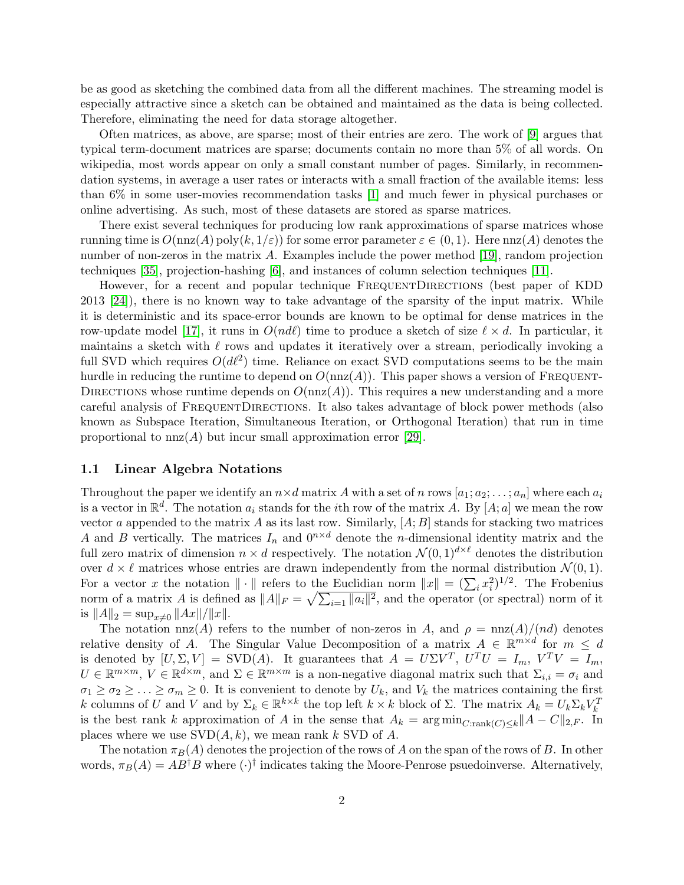be as good as sketching the combined data from all the different machines. The streaming model is especially attractive since a sketch can be obtained and maintained as the data is being collected. Therefore, eliminating the need for data storage altogether.

Often matrices, as above, are sparse; most of their entries are zero. The work of [\[9\]](#page-15-0) argues that typical term-document matrices are sparse; documents contain no more than 5% of all words. On wikipedia, most words appear on only a small constant number of pages. Similarly, in recommendation systems, in average a user rates or interacts with a small fraction of the available items: less than 6% in some user-movies recommendation tasks [\[1\]](#page-15-1) and much fewer in physical purchases or online advertising. As such, most of these datasets are stored as sparse matrices.

There exist several techniques for producing low rank approximations of sparse matrices whose running time is  $O(\text{nnz}(A) \text{poly}(k, 1/\varepsilon))$  for some error parameter  $\varepsilon \in (0, 1)$ . Here  $\text{nnz}(A)$  denotes the number of non-zeros in the matrix A. Examples include the power method [\[19\]](#page-16-1), random projection techniques [\[35\]](#page-17-0), projection-hashing [\[6\]](#page-15-2), and instances of column selection techniques [\[11\]](#page-15-3).

However, for a recent and popular technique FREQUENTDIRECTIONS (best paper of KDD) 2013 [\[24\]](#page-16-2)), there is no known way to take advantage of the sparsity of the input matrix. While it is deterministic and its space-error bounds are known to be optimal for dense matrices in the row-update model [\[17\]](#page-16-3), it runs in  $O(nd\ell)$  time to produce a sketch of size  $\ell \times d$ . In particular, it maintains a sketch with  $\ell$  rows and updates it iteratively over a stream, periodically invoking a full SVD which requires  $O(d\ell^2)$  time. Reliance on exact SVD computations seems to be the main hurdle in reducing the runtime to depend on  $O(nnz(A))$ . This paper shows a version of FREQUENT-DIRECTIONS whose runtime depends on  $O(nnz(A))$ . This requires a new understanding and a more careful analysis of FrequentDirections. It also takes advantage of block power methods (also known as Subspace Iteration, Simultaneous Iteration, or Orthogonal Iteration) that run in time proportional to  $nnz(A)$  but incur small approximation error [\[29\]](#page-17-1).

### 1.1 Linear Algebra Notations

Throughout the paper we identify an  $n \times d$  matrix A with a set of n rows  $[a_1; a_2; \dots; a_n]$  where each  $a_i$ is a vector in  $\mathbb{R}^d$ . The notation  $a_i$  stands for the *i*th row of the matrix A. By [A; a] we mean the row vector a appended to the matrix A as its last row. Similarly,  $[A;B]$  stands for stacking two matrices A and B vertically. The matrices  $I_n$  and  $0^{n \times d}$  denote the *n*-dimensional identity matrix and the full zero matrix of dimension  $n \times d$  respectively. The notation  $\mathcal{N}(0,1)^{d \times \ell}$  denotes the distribution over  $d \times \ell$  matrices whose entries are drawn independently from the normal distribution  $\mathcal{N}(0, 1)$ . For a vector x the notation  $\|\cdot\|$  refers to the Euclidian norm  $\|x\| = (\sum_i x_i^2)^{1/2}$ . The Frobenius norm of a matrix A is defined as  $||A||_F = \sqrt{\sum_{i=1} ||a_i||^2}$ , and the operator (or spectral) norm of it is  $||A||_2 = \sup_{x\neq 0} ||Ax||/||x||$ .

The notation nnz(A) refers to the number of non-zeros in A, and  $\rho = \text{nnz}(A)/(nd)$  denotes relative density of A. The Singular Value Decomposition of a matrix  $A \in \mathbb{R}^{m \times d}$  for  $m \leq d$ is denoted by  $[U, \Sigma, V] = \text{SVD}(A)$ . It guarantees that  $A = U\Sigma V^T$ ,  $U^T U = I_m$ ,  $V^T V = I_m$ ,  $U \in \mathbb{R}^{m \times m}$ ,  $V \in \mathbb{R}^{d \times m}$ , and  $\Sigma \in \mathbb{R}^{m \times m}$  is a non-negative diagonal matrix such that  $\Sigma_{i,i} = \sigma_i$  and  $\sigma_1 \geq \sigma_2 \geq \ldots \geq \sigma_m \geq 0$ . It is convenient to denote by  $U_k$ , and  $V_k$  the matrices containing the first k columns of U and V and by  $\Sigma_k \in \mathbb{R}^{k \times k}$  the top left  $k \times k$  block of  $\Sigma$ . The matrix  $A_k = U_k \Sigma_k V_k^T$ is the best rank k approximation of A in the sense that  $A_k = \arg \min_{C:\text{rank}(C) \leq k} ||A - C||_{2,F}$ . In places where we use  $SVD(A, k)$ , we mean rank k SVD of A.

The notation  $\pi_B(A)$  denotes the projection of the rows of A on the span of the rows of B. In other words,  $\pi_B(A) = AB^{\dagger}B$  where  $(\cdot)^{\dagger}$  indicates taking the Moore-Penrose psuedoinverse. Alternatively,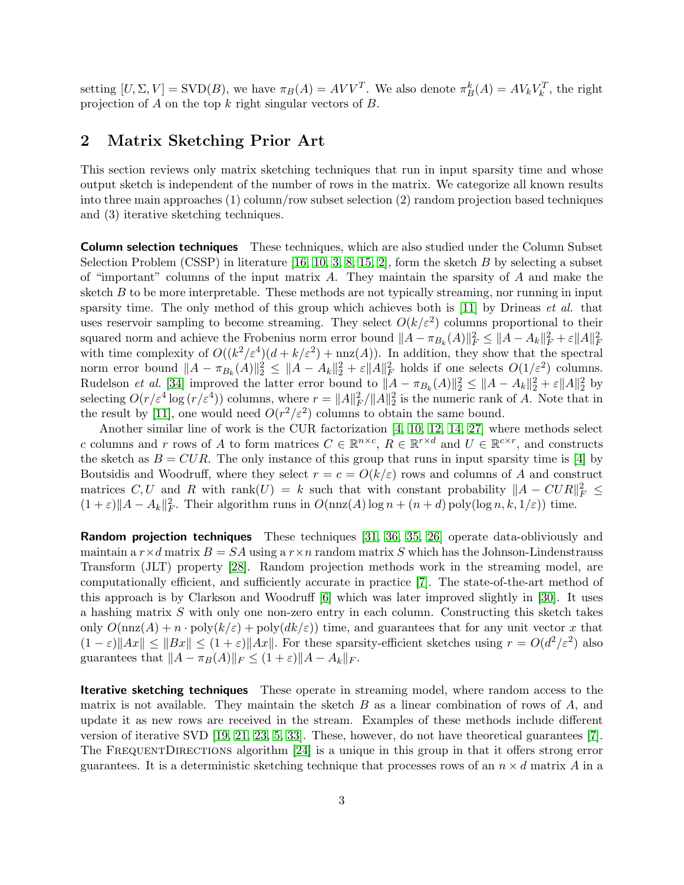setting  $[U, \Sigma, V] = \text{SVD}(B)$ , we have  $\pi_B(A) = AVV^T$ . We also denote  $\pi_B^k(A) = AV_kV_k^T$ , the right projection of A on the top  $k$  right singular vectors of  $B$ .

## 2 Matrix Sketching Prior Art

This section reviews only matrix sketching techniques that run in input sparsity time and whose output sketch is independent of the number of rows in the matrix. We categorize all known results into three main approaches (1) column/row subset selection (2) random projection based techniques and (3) iterative sketching techniques.

**Column selection techniques** These techniques, which are also studied under the Column Subset Selection Problem (CSSP) in literature [\[16,](#page-16-4) [10,](#page-15-4) [3,](#page-15-5) [8,](#page-15-6) [15,](#page-16-5) [2\]](#page-15-7), form the sketch  $B$  by selecting a subset of "important" columns of the input matrix  $A$ . They maintain the sparsity of  $A$  and make the sketch  $B$  to be more interpretable. These methods are not typically streaming, nor running in input sparsity time. The only method of this group which achieves both is  $[11]$  by Drineas *et al.* that uses reservoir sampling to become streaming. They select  $O(k/\varepsilon^2)$  columns proportional to their squared norm and achieve the Frobenius norm error bound  $||A - \pi_{B_k}(A)||_F^2 \le ||A - A_k||_F^2 + \varepsilon ||A||_F^2$ with time complexity of  $O((k^2/\varepsilon^4)(d+k/\varepsilon^2)+\text{nnz}(A))$ . In addition, they show that the spectral norm error bound  $||A - \pi_{B_k}(A)||_2^2 \le ||A - A_k||_2^2 + \varepsilon ||A||_F^2$  holds if one selects  $O(1/\varepsilon^2)$  columns. Rudelson *et al.* [\[34\]](#page-17-2) improved the latter error bound to  $||A - \pi_{B_k}(A)||_2^2 \le ||A - A_k||_2^2 + \varepsilon ||A||_2^2$  by selecting  $O(r/\varepsilon^4 \log (r/\varepsilon^4))$  columns, where  $r = ||A||_F^2/||A||_2^2$  is the numeric rank of A. Note that in the result by [\[11\]](#page-15-3), one would need  $O(r^2/\varepsilon^2)$  columns to obtain the same bound.

Another similar line of work is the CUR factorization [\[4,](#page-15-8) [10,](#page-15-4) [12,](#page-16-6) [14,](#page-16-7) [27\]](#page-16-8) where methods select c columns and r rows of A to form matrices  $C \in \mathbb{R}^{n \times c}$ ,  $R \in \mathbb{R}^{r \times d}$  and  $U \in \mathbb{R}^{c \times r}$ , and constructs the sketch as  $B = CUR$ . The only instance of this group that runs in input sparsity time is [\[4\]](#page-15-8) by Boutsidis and Woodruff, where they select  $r = c = O(k/\varepsilon)$  rows and columns of A and construct matrices C, U and R with rank $(U) = k$  such that with constant probability  $||A - CUR||_F^2 \le$  $(1+\varepsilon) \|A - A_k\|_F^2$ . Their algorithm runs in  $O(\mathrm{nnz}(A) \log n + (n+d) \mathrm{poly}(\log n, k, 1/\varepsilon))$  time.

**Random projection techniques** These techniques [\[31,](#page-17-3) [36,](#page-17-4) [35,](#page-17-0) [26\]](#page-16-9) operate data-obliviously and maintain a  $r \times d$  matrix  $B = SA$  using a  $r \times n$  random matrix S which has the Johnson-Lindenstrauss Transform (JLT) property [\[28\]](#page-17-5). Random projection methods work in the streaming model, are computationally efficient, and sufficiently accurate in practice [\[7\]](#page-15-9). The state-of-the-art method of this approach is by Clarkson and Woodruff [\[6\]](#page-15-2) which was later improved slightly in [\[30\]](#page-17-6). It uses a hashing matrix S with only one non-zero entry in each column. Constructing this sketch takes only  $O(\text{nnz}(A) + n \cdot \text{poly}(k/\varepsilon) + \text{poly}(dk/\varepsilon))$  time, and guarantees that for any unit vector x that  $(1 - \varepsilon) \|Ax\| \leq \|Bx\| \leq (1 + \varepsilon) \|Ax\|$ . For these sparsity-efficient sketches using  $r = O(d^2/\varepsilon^2)$  also guarantees that  $||A - \pi_B(A)||_F \leq (1 + \varepsilon) ||A - A_k||_F$ .

Iterative sketching techniques These operate in streaming model, where random access to the matrix is not available. They maintain the sketch  $B$  as a linear combination of rows of  $A$ , and update it as new rows are received in the stream. Examples of these methods include different version of iterative SVD [\[19,](#page-16-1) [21,](#page-16-10) [23,](#page-16-11) [5,](#page-15-10) [33\]](#page-17-7). These, however, do not have theoretical guarantees [\[7\]](#page-15-9). The FREQUENTDIRECTIONS algorithm [\[24\]](#page-16-2) is a unique in this group in that it offers strong error guarantees. It is a deterministic sketching technique that processes rows of an  $n \times d$  matrix A in a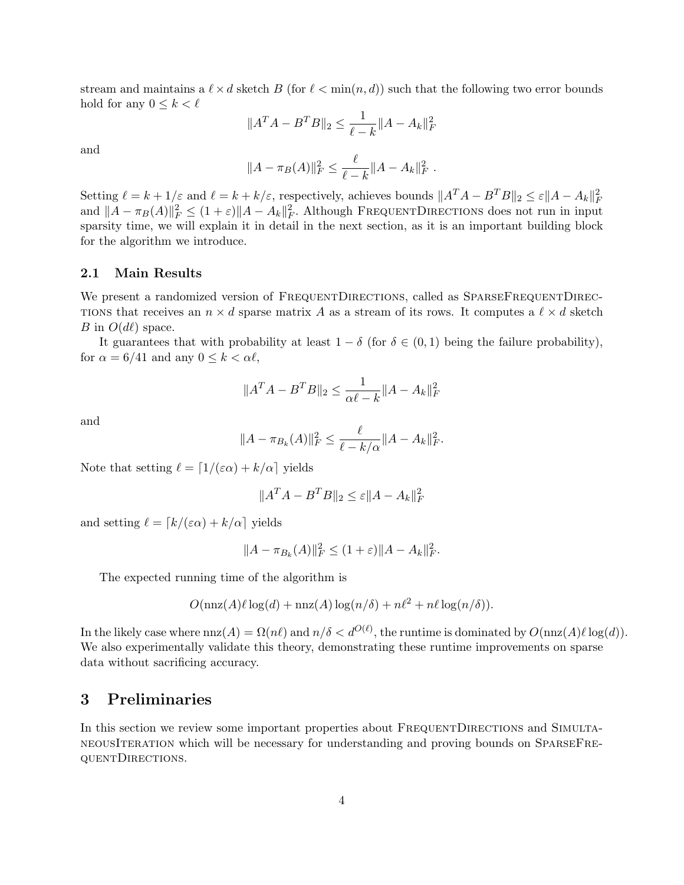stream and maintains a  $\ell \times d$  sketch B (for  $\ell < \min(n, d)$ ) such that the following two error bounds hold for any  $0 \leq k < \ell$ 

$$
||A^T A - B^T B||_2 \le \frac{1}{\ell - k} ||A - A_k||_F^2
$$

and

$$
||A - \pi_B(A)||_F^2 \le \frac{\ell}{\ell - k} ||A - A_k||_F^2.
$$

Setting  $\ell = k + 1/\varepsilon$  and  $\ell = k + k/\varepsilon$ , respectively, achieves bounds  $||A^T A - B^T B||_2 \le \varepsilon ||A - A_k||_F^2$ and  $||A - \pi_B(A)||_F^2 \leq (1+\varepsilon)||A - A_k||_F^2$ . Although FREQUENTDIRECTIONS does not run in input sparsity time, we will explain it in detail in the next section, as it is an important building block for the algorithm we introduce.

## 2.1 Main Results

We present a randomized version of FREQUENTDIRECTIONS, called as SPARSEFREQUENTDIREC-TIONS that receives an  $n \times d$  sparse matrix A as a stream of its rows. It computes a  $\ell \times d$  sketch B in  $O(d\ell)$  space.

It guarantees that with probability at least  $1 - \delta$  (for  $\delta \in (0, 1)$ ) being the failure probability), for  $\alpha = 6/41$  and any  $0 \leq k < \alpha \ell$ ,

$$
||A^T A - B^T B||_2 \le \frac{1}{\alpha \ell - k} ||A - A_k||_F^2
$$

and

$$
||A - \pi_{B_k}(A)||_F^2 \le \frac{\ell}{\ell - k/\alpha} ||A - A_k||_F^2.
$$

Note that setting  $\ell = \lfloor 1/(\varepsilon \alpha) + k/\alpha \rfloor$  yields

$$
||A^T A - B^T B||_2 \le \varepsilon ||A - A_k||_F^2
$$

and setting  $\ell = \lceil k/(\varepsilon \alpha) + k/\alpha \rceil$  yields

$$
||A - \pi_{B_k}(A)||_F^2 \le (1 + \varepsilon) ||A - A_k||_F^2.
$$

The expected running time of the algorithm is

$$
O(\operatorname{nnz}(A)\ell \log(d) + \operatorname{nnz}(A) \log(n/\delta) + n\ell^{2} + n\ell \log(n/\delta)).
$$

In the likely case where  $nnz(A) = \Omega(n\ell)$  and  $n/\delta < d^{O(\ell)}$ , the runtime is dominated by  $O(nnz(A)\ell \log(d))$ . We also experimentally validate this theory, demonstrating these runtime improvements on sparse data without sacrificing accuracy.

## 3 Preliminaries

In this section we review some important properties about FREQUENTDIRECTIONS and SIMULTAneousIteration which will be necessary for understanding and proving bounds on SparseFrequentDirections.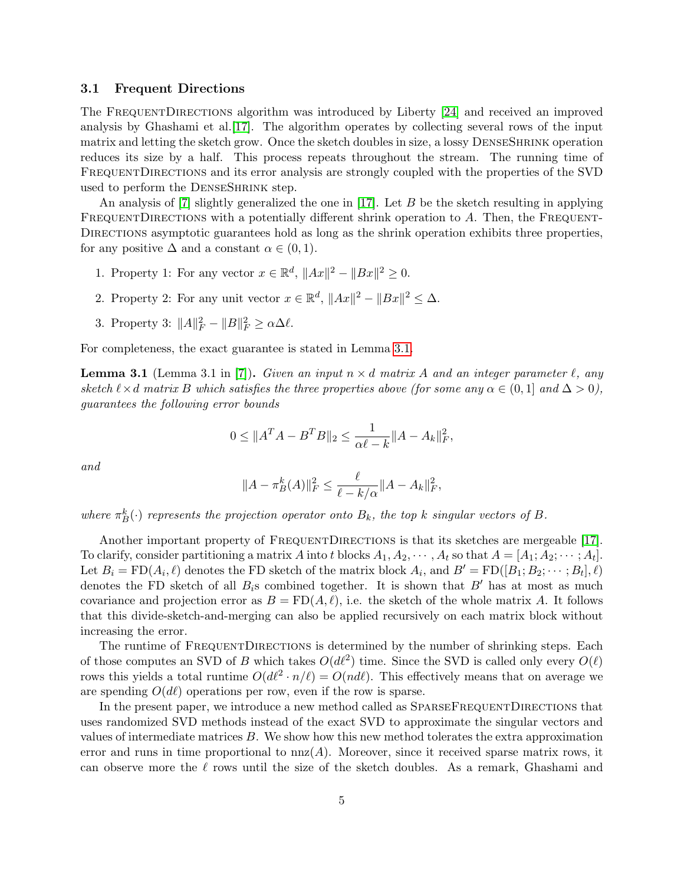### <span id="page-4-1"></span>3.1 Frequent Directions

The FREQUENTDIRECTIONS algorithm was introduced by Liberty [\[24\]](#page-16-2) and received an improved analysis by Ghashami et al.[\[17\]](#page-16-3). The algorithm operates by collecting several rows of the input matrix and letting the sketch grow. Once the sketch doubles in size, a lossy DenseShrink operation reduces its size by a half. This process repeats throughout the stream. The running time of FREQUENTDIRECTIONS and its error analysis are strongly coupled with the properties of the SVD used to perform the DENSESHRINK step.

An analysis of  $[7]$  slightly generalized the one in  $[17]$ . Let B be the sketch resulting in applying FREQUENTDIRECTIONS with a potentially different shrink operation to  $A$ . Then, the FREQUENT-DIRECTIONS asymptotic guarantees hold as long as the shrink operation exhibits three properties, for any positive  $\Delta$  and a constant  $\alpha \in (0,1)$ .

- 1. Property 1: For any vector  $x \in \mathbb{R}^d$ ,  $||Ax||^2 ||Bx||^2 \geq 0$ .
- 2. Property 2: For any unit vector  $x \in \mathbb{R}^d$ ,  $||Ax||^2 ||Bx||^2 \leq \Delta$ .
- 3. Property 3:  $||A||_F^2 ||B||_F^2 \ge \alpha \Delta \ell$ .

<span id="page-4-0"></span>For completeness, the exact guarantee is stated in Lemma [3.1.](#page-4-0)

**Lemma 3.1** (Lemma 3.1 in [\[7\]](#page-15-9)). Given an input  $n \times d$  matrix A and an integer parameter  $\ell$ , any sketch  $\ell \times d$  matrix B which satisfies the three properties above (for some any  $\alpha \in (0,1]$  and  $\Delta > 0$ ), guarantees the following error bounds

$$
0 \le \|A^T A - B^T B\|_2 \le \frac{1}{\alpha \ell - k} \|A - A_k\|_F^2,
$$

and

$$
||A - \pi_B^k(A)||_F^2 \le \frac{\ell}{\ell - k/\alpha} ||A - A_k||_F^2,
$$

where  $\pi_B^k(\cdot)$  represents the projection operator onto  $B_k$ , the top k singular vectors of B.

Another important property of FREQUENTDIRECTIONS is that its sketches are mergeable [\[17\]](#page-16-3). To clarify, consider partitioning a matrix A into t blocks  $A_1, A_2, \cdots, A_t$  so that  $A = [A_1; A_2; \cdots; A_t]$ . Let  $B_i = \text{FD}(A_i, \ell)$  denotes the FD sketch of the matrix block  $A_i$ , and  $B' = \text{FD}([B_1; B_2; \dots; B_t], \ell)$ denotes the FD sketch of all  $B_i$ s combined together. It is shown that  $B'$  has at most as much covariance and projection error as  $B = \text{FD}(A, \ell)$ , i.e. the sketch of the whole matrix A. It follows that this divide-sketch-and-merging can also be applied recursively on each matrix block without increasing the error.

The runtime of FREQUENTDIRECTIONS is determined by the number of shrinking steps. Each of those computes an SVD of B which takes  $O(d\ell^2)$  time. Since the SVD is called only every  $O(\ell)$ rows this yields a total runtime  $O(d\ell^2 \cdot n/\ell) = O(nd)$ . This effectively means that on average we are spending  $O(d\ell)$  operations per row, even if the row is sparse.

In the present paper, we introduce a new method called as  $SPARSEFREQUENTDIRECTIONS$  that uses randomized SVD methods instead of the exact SVD to approximate the singular vectors and values of intermediate matrices  $B$ . We show how this new method tolerates the extra approximation error and runs in time proportional to  $nnz(A)$ . Moreover, since it received sparse matrix rows, it can observe more the  $\ell$  rows until the size of the sketch doubles. As a remark, Ghashami and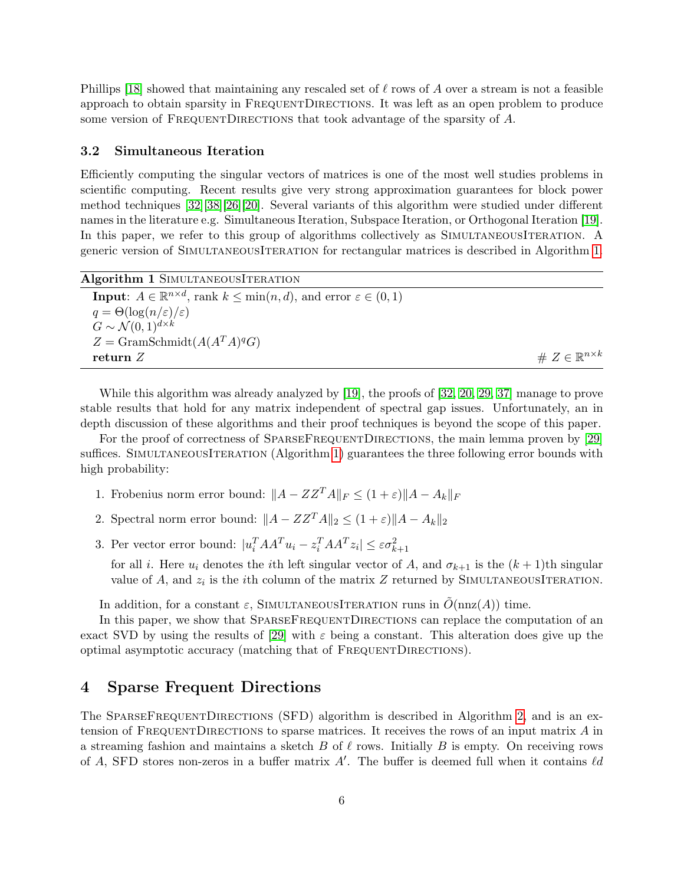Phillips [\[18\]](#page-16-12) showed that maintaining any rescaled set of  $\ell$  rows of A over a stream is not a feasible approach to obtain sparsity in FREQUENTDIRECTIONS. It was left as an open problem to produce some version of FREQUENTDIRECTIONS that took advantage of the sparsity of A.

#### 3.2 Simultaneous Iteration

Efficiently computing the singular vectors of matrices is one of the most well studies problems in scientific computing. Recent results give very strong approximation guarantees for block power method techniques [\[32\]](#page-17-8)[\[38\]](#page-17-9)[\[26\]](#page-16-9)[\[20\]](#page-16-13). Several variants of this algorithm were studied under different names in the literature e.g. Simultaneous Iteration, Subspace Iteration, or Orthogonal Iteration [\[19\]](#page-16-1). In this paper, we refer to this group of algorithms collectively as SIMULTANEOUSITERATION. A generic version of SimultaneousIteration for rectangular matrices is described in Algorithm [1.](#page-5-0)

<span id="page-5-0"></span>

| Algorithm 1 SIMULTANEOUSITERATION                                                                             |                                   |
|---------------------------------------------------------------------------------------------------------------|-----------------------------------|
| <b>Input:</b> $A \in \mathbb{R}^{n \times d}$ , rank $k \leq \min(n, d)$ , and error $\varepsilon \in (0, 1)$ |                                   |
| $q = \Theta(\log(n/\varepsilon)/\varepsilon)$                                                                 |                                   |
| $G \sim \mathcal{N}(0, 1)^{d \times k}$                                                                       |                                   |
| $Z = \text{GramSchmidt}(A(A^T A)^q G)$                                                                        |                                   |
| return $Z$                                                                                                    | # $Z \in \mathbb{R}^{n \times k}$ |

While this algorithm was already analyzed by [\[19\]](#page-16-1), the proofs of [\[32,](#page-17-8) [20,](#page-16-13) [29,](#page-17-1) [37\]](#page-17-10) manage to prove stable results that hold for any matrix independent of spectral gap issues. Unfortunately, an in depth discussion of these algorithms and their proof techniques is beyond the scope of this paper.

For the proof of correctness of SPARSEFREQUENTDIRECTIONS, the main lemma proven by [\[29\]](#page-17-1) suffices. SIMULTANEOUSITERATION (Algorithm [1\)](#page-5-0) guarantees the three following error bounds with high probability:

- 1. Frobenius norm error bound:  $||A ZZ^T A||_F \leq (1 + \varepsilon) ||A A_k||_F$
- 2. Spectral norm error bound:  $||A ZZ^T A||_2 \le (1 + \varepsilon) ||A A_k||_2$
- 3. Per vector error bound:  $|u_i^T A A^T u_i z_i^T A A^T z_i| \leq \varepsilon \sigma_{k+1}^2$

for all *i*. Here  $u_i$  denotes the *i*th left singular vector of A, and  $\sigma_{k+1}$  is the  $(k+1)$ th singular value of A, and  $z_i$  is the *i*th column of the matrix Z returned by SIMULTANEOUSITERATION.

In addition, for a constant  $\varepsilon$ , SIMULTANEOUSITERATION runs in  $O(n \alpha(A))$  time.

In this paper, we show that SPARSEFREQUENTDIRECTIONS can replace the computation of an exact SVD by using the results of [\[29\]](#page-17-1) with  $\varepsilon$  being a constant. This alteration does give up the optimal asymptotic accuracy (matching that of FREQUENTDIRECTIONS).

## 4 Sparse Frequent Directions

The SPARSEFREQUENTDIRECTIONS (SFD) algorithm is described in Algorithm [2,](#page-6-0) and is an extension of FREQUENTDIRECTIONS to sparse matrices. It receives the rows of an input matrix  $A$  in a streaming fashion and maintains a sketch B of  $\ell$  rows. Initially B is empty. On receiving rows of A, SFD stores non-zeros in a buffer matrix A'. The buffer is deemed full when it contains  $\ell d$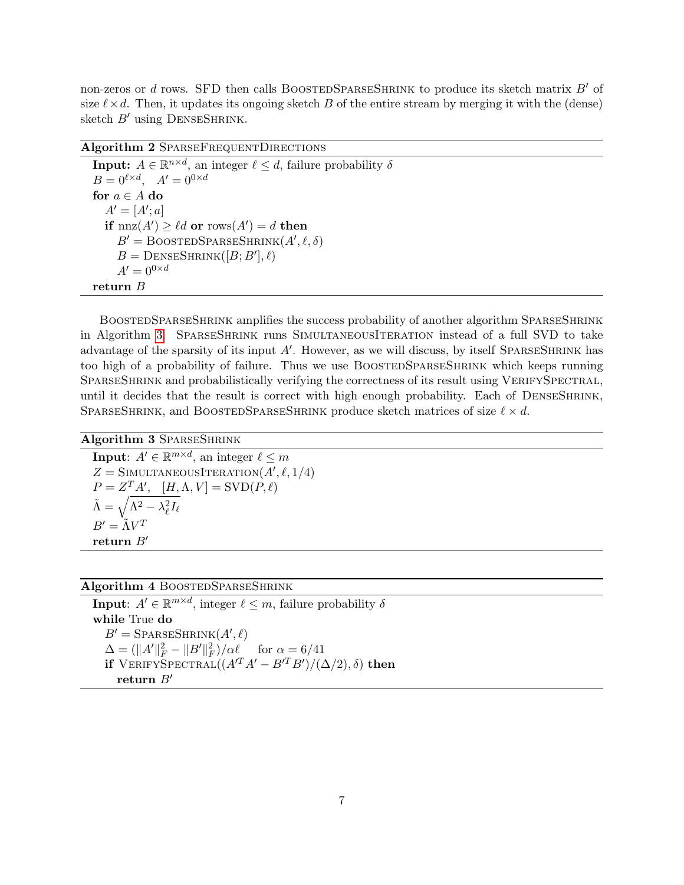non-zeros or d rows. SFD then calls BOOSTEDSPARSESHRINK to produce its sketch matrix  $B'$  of size  $\ell \times d$ . Then, it updates its ongoing sketch B of the entire stream by merging it with the (dense) sketch  $B'$  using DENSESHRINK.

Algorithm 2 SPARSEFREQUENTDIRECTIONS

<span id="page-6-0"></span>**Input:**  $A \in \mathbb{R}^{n \times d}$ , an integer  $\ell \leq d$ , failure probability  $\delta$  $B = 0^{\ell \times d}$ ,  $A' = 0^{0 \times d}$ for  $a \in A$  do  $A' = [A'; a]$ if  $nnz(A') \geq \ell d$  or  $rows(A') = d$  then  $B' = \text{BoostEDSPARSESHRINK}(A', \ell, \delta)$  $B = \text{DENSESHRINK}([B; B'], \ell)$  $A'=0^{0\times d}$ return B

BOOSTEDSPARSESHRINK amplifies the success probability of another algorithm SPARSESHRINK in Algorithm [3.](#page-6-1) SparseShrink runs SimultaneousIteration instead of a full SVD to take advantage of the sparsity of its input  $A'$ . However, as we will discuss, by itself SPARSESHRINK has too high of a probability of failure. Thus we use BOOSTEDSPARSESHRINK which keeps running SPARSESHRINK and probabilistically verifying the correctness of its result using VERIFYSPECTRAL, until it decides that the result is correct with high enough probability. Each of DENSESHRINK, SPARSESHRINK, and BOOSTEDSPARSESHRINK produce sketch matrices of size  $\ell \times d$ .

```
Algorithm 3 SPARSESHRINK
```
<span id="page-6-1"></span>**Input:**  $A' \in \mathbb{R}^{m \times d}$ , an integer  $\ell \leq m$  $Z =$  SIMULTANEOUSITERATION $(A', \ell, 1/4)$  $P = Z^T A', \quad [H, \Lambda, V] = \text{SVD}(P, \ell)$  $\tilde{\Lambda} = \sqrt{\Lambda^2 - \lambda_\ell^2 I_\ell}$  $B' = \tilde{\Lambda} V^T$ return  $B'$ 

## Algorithm 4 BOOSTEDSPARSESHRINK

**Input**:  $A' \in \mathbb{R}^{m \times d}$ , integer  $\ell \leq m$ , failure probability  $\delta$ while True do  $B' =$ SparseShrink $(A', \ell)$  $\Delta = (\|A'\|_F^2 - \|B'\|_F^2)/\alpha \ell \quad \text{for } \alpha = 6/41$ if  $\text{VERIFY}\text{SPECTRAL}((A'^T A' - B'^T B')/(\Delta/2), \delta)$  then return  $B'$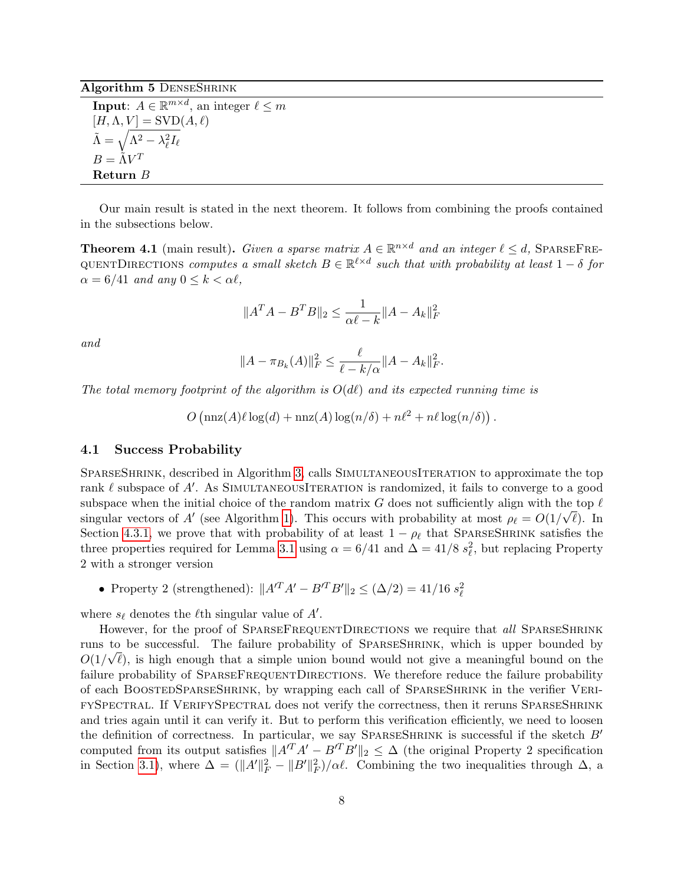Algorithm 5 DENSESHRINK

**Input:**  $A \in \mathbb{R}^{m \times d}$ , an integer  $\ell \leq m$  $[H, \Lambda, V] = \text{SVD}(A, \ell)$  $\tilde{\Lambda} = \sqrt{\Lambda^2 - \lambda_\ell^2 I_\ell}$  $B = \tilde{\Lambda} V^T$ Return B

Our main result is stated in the next theorem. It follows from combining the proofs contained in the subsections below.

<span id="page-7-0"></span>**Theorem 4.1** (main result). Given a sparse matrix  $A \in \mathbb{R}^{n \times d}$  and an integer  $\ell \leq d$ , SPARSEFRE-QUENTDIRECTIONS computes a small sketch  $B \in \mathbb{R}^{\ell \times d}$  such that with probability at least  $1 - \delta$  for  $\alpha = 6/41$  and any  $0 \leq k \leq \alpha \ell$ ,

$$
||A^T A - B^T B||_2 \le \frac{1}{\alpha \ell - k} ||A - A_k||_F^2
$$

and

$$
||A - \pi_{B_k}(A)||_F^2 \le \frac{\ell}{\ell - k/\alpha} ||A - A_k||_F^2.
$$

The total memory footprint of the algorithm is  $O(d\ell)$  and its expected running time is

 $O\left(\max(A)\ell \log(d) + \max(A) \log(n/\delta) + n\ell^2 + n\ell \log(n/\delta)\right).$ 

### <span id="page-7-1"></span>4.1 Success Probability

SPARSESHRINK, described in Algorithm [3,](#page-6-1) calls SIMULTANEOUSITERATION to approximate the top rank  $\ell$  subspace of A'. As SIMULTANEOUSITERATION is randomized, it fails to converge to a good subspace when the initial choice of the random matrix  $G$  does not sufficiently align with the top  $\ell$ singular vectors of A' (see Algorithm [1\)](#page-5-0). This occurs with probability at most  $\rho_{\ell} = O(1/\sqrt{\ell})$ . In Section [4.3.1,](#page-9-0) we prove that with probability of at least  $1 - \rho_\ell$  that SPARSESHRINK satisfies the three properties required for Lemma [3.1](#page-4-0) using  $\alpha = 6/41$  and  $\Delta = 41/8$   $s_{\ell}^2$ , but replacing Property 2 with a stronger version

• Property 2 (strengthened):  $||A^T A' - B^T B'||_2 \leq (\Delta/2) = 41/16 s_\ell^2$ 

where  $s_{\ell}$  denotes the  $\ell$ <sup>th</sup> singular value of  $A'$ .

However, for the proof of SPARSEFREQUENTDIRECTIONS we require that all SPARSESHRINK runs to be successful. The failure probability of SPARSESHRINK, which is upper bounded by  $O(1/\sqrt{\ell})$ , is high enough that a simple union bound would not give a meaningful bound on the failure probability of SPARSEFREQUENTDIRECTIONS. We therefore reduce the failure probability of each BoostedSparseShrink, by wrapping each call of SparseShrink in the verifier VerifySpectral. If VerifySpectral does not verify the correctness, then it reruns SparseShrink and tries again until it can verify it. But to perform this verification efficiently, we need to loosen the definition of correctness. In particular, we say SPARSESHRINK is successful if the sketch  $B'$ computed from its output satisfies  $||A^T A' - B^T B'||_2 \leq \Delta$  (the original Property 2 specification in Section [3.1\)](#page-4-1), where  $\Delta = (\|A'\|_F^2 - \|B'\|_F^2)/\alpha \ell$ . Combining the two inequalities through  $\Delta$ , a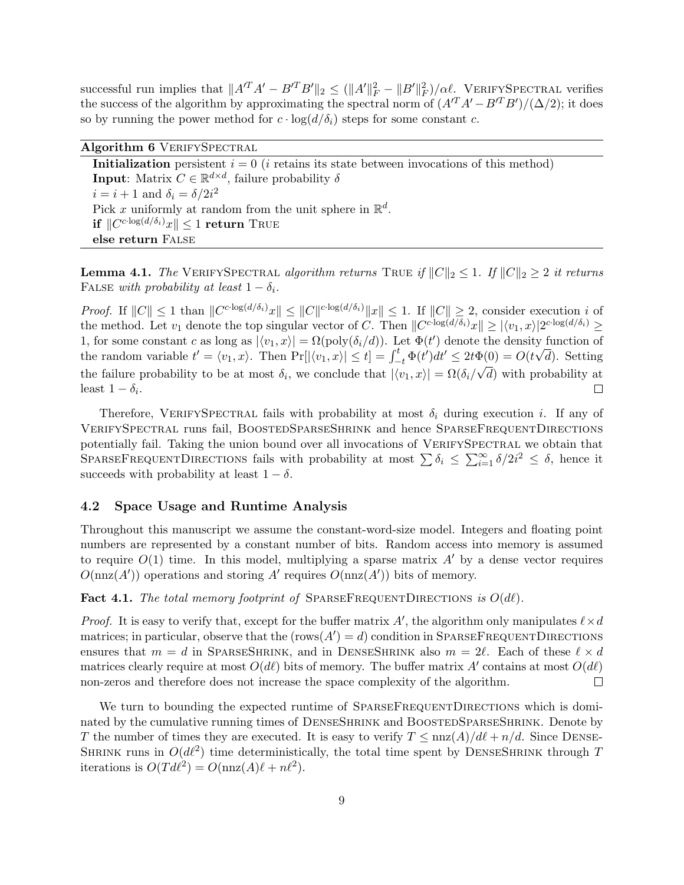successful run implies that  $||A'^T A' - B'^T B'||_2 \le (||A'||_F^2 - ||B'||_F^2)/\alpha \ell$ . VERIFYSPECTRAL verifies the success of the algorithm by approximating the spectral norm of  $(A^T A' - B^T B')/(\Delta/2)$ ; it does so by running the power method for  $c \cdot \log(d/\delta_i)$  steps for some constant c.

Algorithm 6 VERIFYSPECTRAL Initialization persistent  $i = 0$  (*i* retains its state between invocations of this method) **Input**: Matrix  $C \in \mathbb{R}^{d \times d}$ , failure probability  $\delta$  $i = i + 1$  and  $\delta_i = \delta/2i^2$ Pick x uniformly at random from the unit sphere in  $\mathbb{R}^d$ . if  $\| C^{c \cdot \log(d/\delta_i)} x \| \leq 1$  return True else return False

<span id="page-8-0"></span>**Lemma 4.1.** The VERIFYSPECTRAL algorithm returns TRUE if  $||C||_2 \leq 1$ . If  $||C||_2 \geq 2$  it returns FALSE with probability at least  $1 - \delta_i$ .

*Proof.* If  $||C|| \leq 1$  than  $||C^{c \cdot \log(d/\delta_i)}x|| \leq ||C||^{c \cdot \log(d/\delta_i)}||x|| \leq 1$ . If  $||C|| \geq 2$ , consider execution i of the method. Let  $v_1$  denote the top singular vector of C. Then  $||C^{c \cdot \log(d/\delta_i)}x|| \ge |\langle v_1, x \rangle|2^{c \cdot \log(d/\delta_i)} \ge$ 1, for some constant c as long as  $|\langle v_1, x \rangle| = \Omega(\text{poly}(\delta_i/d))$ . Let  $\Phi(t')$  denote the density function of the random variable  $t' = \langle v_1, x \rangle$ . Then  $\Pr[|\langle v_1, x \rangle| \le t] = \int_{-t}^{t} \Phi(t')dt' \le 2t\Phi(0) = O(t\sqrt{d})$ . Setting the failure probability to be at most  $\delta_i$ , we conclude that  $|\langle v_1, x \rangle| = \Omega(\delta_i/\sqrt{d})$  with probability at least  $1 - \delta_i$ . П

Therefore, VERIFYSPECTRAL fails with probability at most  $\delta_i$  during execution i. If any of VerifySpectral runs fail, BoostedSparseShrink and hence SparseFrequentDirections potentially fail. Taking the union bound over all invocations of VERIFYSPECTRAL we obtain that SPARSEFREQUENTDIRECTIONS fails with probability at most  $\sum \delta_i \leq \sum_{i=1}^{\infty} \delta/2i^2 \leq \delta$ , hence it succeeds with probability at least  $1 - \delta$ .

## 4.2 Space Usage and Runtime Analysis

Throughout this manuscript we assume the constant-word-size model. Integers and floating point numbers are represented by a constant number of bits. Random access into memory is assumed to require  $O(1)$  time. In this model, multiplying a sparse matrix A' by a dense vector requires  $O(nnz(A'))$  operations and storing A' requires  $O(nnz(A'))$  bits of memory.

**Fact 4.1.** The total memory footprint of SPARSEFREQUENTDIRECTIONS is  $O(d\ell)$ .

*Proof.* It is easy to verify that, except for the buffer matrix A', the algorithm only manipulates  $\ell \times d$ matrices; in particular, observe that the  $(\text{rows}(A') = d)$  condition in SPARSEFREQUENTDIRECTIONS ensures that  $m = d$  in SPARSESHRINK, and in DENSESHRINK also  $m = 2\ell$ . Each of these  $\ell \times d$ matrices clearly require at most  $O(d\ell)$  bits of memory. The buffer matrix A' contains at most  $O(d\ell)$ non-zeros and therefore does not increase the space complexity of the algorithm.  $\Box$ 

We turn to bounding the expected runtime of SPARSEFREQUENTDIRECTIONS which is dominated by the cumulative running times of DENSESHRINK and BOOSTEDSPARSESHRINK. Denote by T the number of times they are executed. It is easy to verify  $T \n\t\leq \n\t\max(A)/d\ell + n/d$ . Since DENSE-SHRINK runs in  $O(d\ell^2)$  time deterministically, the total time spent by DENSESHRINK through T iterations is  $O(T d\ell^2) = O(\text{nnz}(A)\ell + n\ell^2)$ .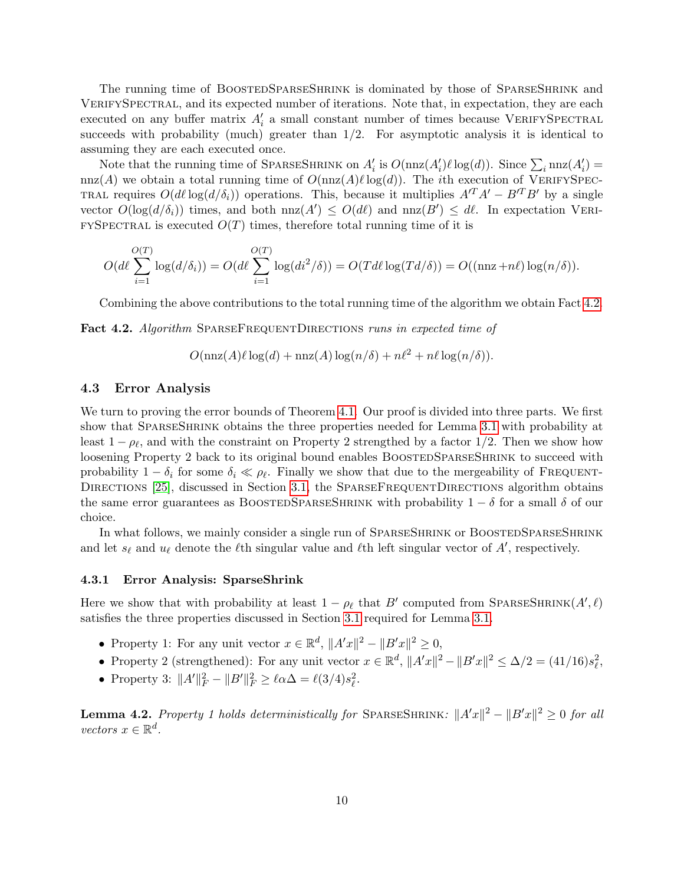The running time of BOOSTEDSPARSESHRINK is dominated by those of SPARSESHRINK and VERIFYSPECTRAL, and its expected number of iterations. Note that, in expectation, they are each executed on any buffer matrix  $A_i'$  a small constant number of times because VERIFYSPECTRAL succeeds with probability (much) greater than  $1/2$ . For asymptotic analysis it is identical to assuming they are each executed once.

Note that the running time of SPARSESHRINK on  $A'_i$  is  $O(\text{nnz}(A'_i)\ell \log(d))$ . Since  $\sum_i \text{nnz}(A'_i)$ nnz(A) we obtain a total running time of  $O(nnz(A)\ell log(d))$ . The *i*th execution of VERIFYSPEC-TRAL requires  $O(d\ell \log(d/\delta_i))$  operations. This, because it multiplies  $A'^T A' - B'^T B'$  by a single vector  $O(\log(d/\delta_i))$  times, and both  $nnz(A') \leq O(d\ell)$  and  $nnz(B') \leq d\ell$ . In expectation VERI $f_{\text{F}}$  fySpectral is executed  $O(T)$  times, therefore total running time of it is

$$
O(d\ell \sum_{i=1}^{O(T)} \log(d/\delta_i)) = O(d\ell \sum_{i=1}^{O(T)} \log(d_i^2/\delta)) = O(Td\ell \log(Td/\delta)) = O((\text{nnz} + n\ell) \log(n/\delta)).
$$

Combining the above contributions to the total running time of the algorithm we obtain Fact [4.2.](#page-9-1)

<span id="page-9-1"></span>**Fact 4.2.** Algorithm SPARSEFREQUENTDIRECTIONS runs in expected time of

$$
O(\max(A)\ell \log(d) + \max(A)\log(n/\delta) + n\ell^2 + n\ell \log(n/\delta)).
$$

### 4.3 Error Analysis

We turn to proving the error bounds of Theorem [4.1.](#page-7-0) Our proof is divided into three parts. We first show that SPARSESHRINK obtains the three properties needed for Lemma [3.1](#page-4-0) with probability at least  $1 - \rho_\ell$ , and with the constraint on Property 2 strengthed by a factor 1/2. Then we show how loosening Property 2 back to its original bound enables BOOSTEDSPARSESHRINK to succeed with probability  $1 - \delta_i$  for some  $\delta_i \ll \rho_\ell$ . Finally we show that due to the mergeability of FREQUENT-DIRECTIONS [\[25\]](#page-16-14), discussed in Section [3.1,](#page-4-1) the SPARSEFREQUENTDIRECTIONS algorithm obtains the same error guarantees as BOOSTEDSPARSESHRINK with probability  $1 - \delta$  for a small  $\delta$  of our choice.

In what follows, we mainly consider a single run of SPARSESHRINK or BOOSTEDSPARSESHRINK and let  $s_\ell$  and  $u_\ell$  denote the  $\ell$ th singular value and  $\ell$ th left singular vector of A', respectively.

#### <span id="page-9-0"></span>4.3.1 Error Analysis: SparseShrink

Here we show that with probability at least  $1 - \rho_{\ell}$  that B' computed from SPARSESHRINK $(A', \ell)$ satisfies the three properties discussed in Section [3.1](#page-4-1) required for Lemma [3.1.](#page-4-0)

- Property 1: For any unit vector  $x \in \mathbb{R}^d$ ,  $||A'x||^2 ||B'x||^2 \geq 0$ ,
- Property 2 (strengthened): For any unit vector  $x \in \mathbb{R}^d$ ,  $||A'x||^2 ||B'x||^2 \le \Delta/2 = (41/16)s_\ell^2$ ,
- Property 3:  $||A'||_F^2 ||B'||_F^2 \ge \ell \alpha \Delta = \ell(3/4)s_\ell^2$ .

**Lemma 4.2.** Property 1 holds deterministically for SPARSESHRINK:  $||A'x||^2 - ||B'x||^2 \ge 0$  for all vectors  $x \in \mathbb{R}^d$ .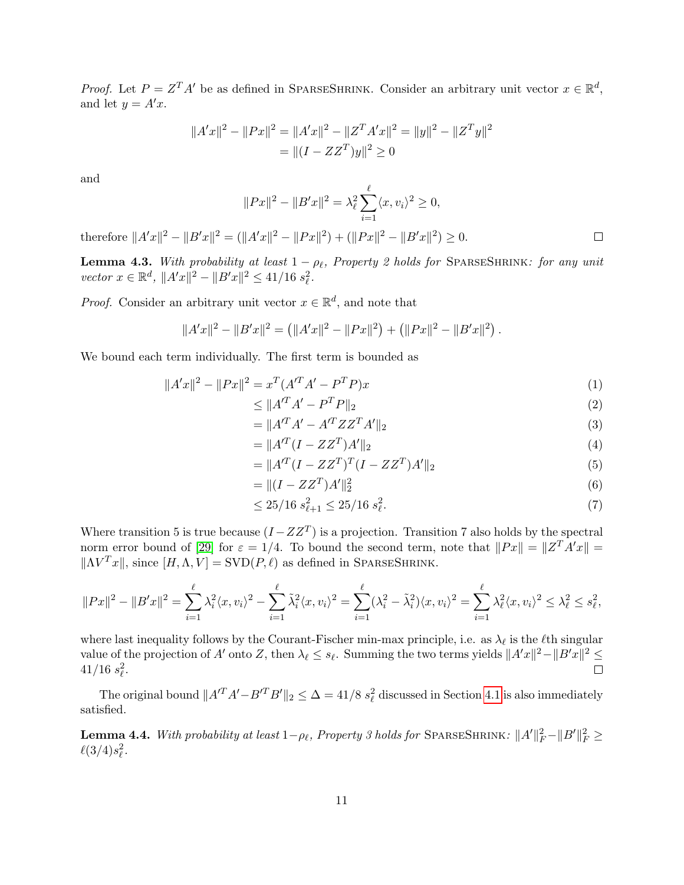*Proof.* Let  $P = Z^T A'$  be as defined in SPARSESHRINK. Consider an arbitrary unit vector  $x \in \mathbb{R}^d$ , and let  $y = A'x$ .

$$
||A'x||^2 - ||Px||^2 = ||A'x||^2 - ||Z^T A'x||^2 = ||y||^2 - ||Z^T y||^2
$$
  
= 
$$
||(I - ZZ^T)y||^2 \ge 0
$$

and

$$
||Px||^2 - ||B'x||^2 = \lambda_{\ell}^2 \sum_{i=1}^{\ell} \langle x, v_i \rangle^2 \ge 0,
$$

therefore  $||A'x||^2 - ||B'x||^2 = (||A'x||^2 - ||Px||^2) + (||Px||^2 - ||B'x||^2) \ge 0.$ 

<span id="page-10-0"></span>**Lemma 4.3.** With probability at least  $1 - \rho_{\ell}$ , Property 2 holds for SPARSESHRINK: for any unit vector  $x \in \mathbb{R}^d$ ,  $||A'x||^2 - ||B'x||^2 \le 41/16 s_\ell^2$ .

*Proof.* Consider an arbitrary unit vector  $x \in \mathbb{R}^d$ , and note that

$$
||A'x||2 - ||B'x||2 = (||A'x||2 - ||Px||2) + (||Px||2 - ||B'x||2).
$$

We bound each term individually. The first term is bounded as

$$
||A'x||^2 - ||Px||^2 = x^T(A'^T A' - P^T P)x \tag{1}
$$

$$
\leq \|A^T A' - P^T P\|_2 \tag{2}
$$

 $\Box$ 

$$
= \|A'^T A' - A'^T Z Z^T A'\|_2 \tag{3}
$$

$$
= \|A^{T}(I - ZZ^{T})A'\|_{2}
$$
\n(4)

$$
= \|A^{T}(I - ZZ^{T})^{T}(I - ZZ^{T})A'\|_{2}
$$
\n(5)

$$
= \|(I - ZZ^T)A'\|_2^2 \tag{6}
$$

$$
\leq 25/16 \ s_{\ell+1}^2 \leq 25/16 \ s_{\ell}^2. \tag{7}
$$

Where transition 5 is true because  $(I - ZZ^T)$  is a projection. Transition 7 also holds by the spectral norm error bound of [\[29\]](#page-17-1) for  $\varepsilon = 1/4$ . To bound the second term, note that  $||Px|| = ||Z^T A'x|| =$  $||\Lambda V^T x||$ , since  $[H, \Lambda, V] =$  SVD $(P, \ell)$  as defined in SPARSESHRINK.

$$
||Px||^2 - ||B'x||^2 = \sum_{i=1}^{\ell} \lambda_i^2 \langle x, v_i \rangle^2 - \sum_{i=1}^{\ell} \tilde{\lambda}_i^2 \langle x, v_i \rangle^2 = \sum_{i=1}^{\ell} (\lambda_i^2 - \tilde{\lambda}_i^2) \langle x, v_i \rangle^2 = \sum_{i=1}^{\ell} \lambda_{\ell}^2 \langle x, v_i \rangle^2 \le \lambda_{\ell}^2 \le s_{\ell}^2,
$$

where last inequality follows by the Courant-Fischer min-max principle, i.e. as  $\lambda_{\ell}$  is the  $\ell$ th singular value of the projection of A' onto Z, then  $\lambda_\ell \leq s_\ell$ . Summing the two terms yields  $||A'x||^2 - ||B'x||^2 \leq$  $41/16 \; s_{\ell}^2.$ 

The original bound  $||A'^T A' - B'^T B'||_2 \le \Delta = 41/8 s_\ell^2$  discussed in Section [4.1](#page-7-1) is also immediately satisfied.

**Lemma 4.4.** With probability at least  $1-\rho_\ell$ , Property 3 holds for SPARSESHRINK:  $\|A'\|_F^2 - \|B'\|_F^2 \ge$  $\ell(3/4)s_{\ell}^2$ .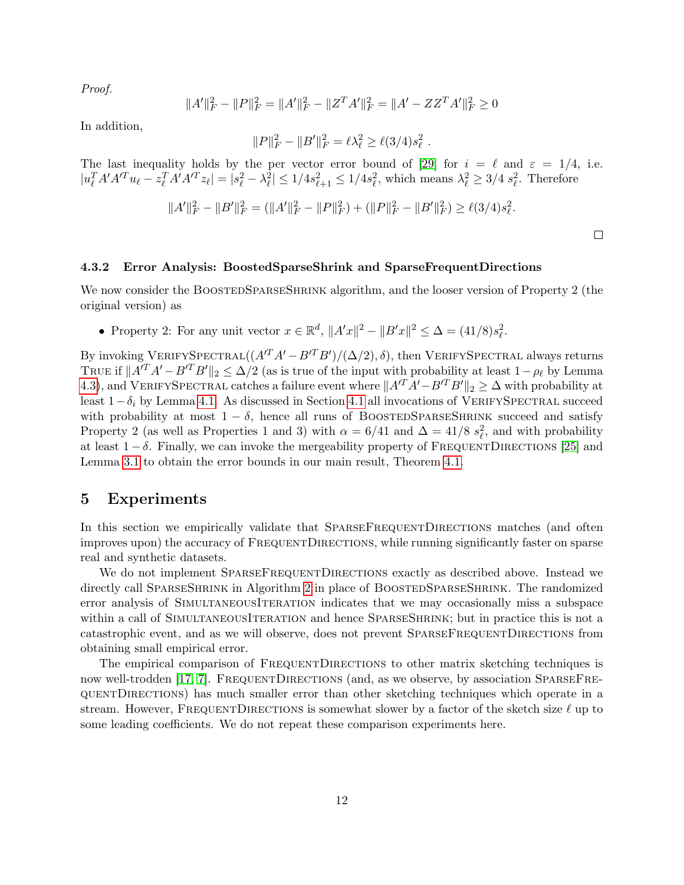Proof.

$$
||A'||_F^2 - ||P||_F^2 = ||A'||_F^2 - ||Z^T A'||_F^2 = ||A' - Z Z^T A'||_F^2 \ge 0
$$

In addition,

$$
||P||_F^2 - ||B'||_F^2 = \ell \lambda_\ell^2 \ge \ell(3/4)s_\ell^2
$$

.

The last inequality holds by the per vector error bound of [\[29\]](#page-17-1) for  $i = \ell$  and  $\varepsilon = 1/4$ , i.e.  $|u_{\ell}^T A' A'^T u_{\ell} - z_{\ell}^T A' A'^T z_{\ell}| = |s_{\ell}^2 - \lambda_{\ell}^2| \leq 1/4s_{\ell+1}^2 \leq 1/4s_{\ell}^2$ , which means  $\lambda_{\ell}^2 \geq 3/4 s_{\ell}^2$ . Therefore

$$
||A'||_F^2 - ||B'||_F^2 = (||A'||_F^2 - ||P||_F^2) + (||P||_F^2 - ||B'||_F^2) \ge \ell(3/4)s_\ell^2.
$$

 $\Box$ 

#### 4.3.2 Error Analysis: BoostedSparseShrink and SparseFrequentDirections

We now consider the BOOSTEDSPARSESHRINK algorithm, and the looser version of Property 2 (the original version) as

• Property 2: For any unit vector  $x \in \mathbb{R}^d$ ,  $||A'x||^2 - ||B'x||^2 \leq \Delta = (41/8)s_\ell^2$ .

By invoking VERIFYSPECTRAL $((A'^T A' - B'^T B')/(\Delta/2), \delta)$ , then VERIFYSPECTRAL always returns TRUE if  $||A^T A' - B^T B'||_2 \le \Delta/2$  (as is true of the input with probability at least  $1-\rho_\ell$  by Lemma [4.3\)](#page-10-0), and VERIFYSPECTRAL catches a failure event where  $||A^T A' - B^T B'||_2 \ge \Delta$  with probability at least  $1-\delta_i$  by Lemma [4.1.](#page-8-0) As discussed in Section [4.1](#page-7-1) all invocations of VERIFYSPECTRAL succeed with probability at most  $1 - \delta$ , hence all runs of BOOSTEDSPARSESHRINK succeed and satisfy Property 2 (as well as Properties 1 and 3) with  $\alpha = 6/41$  and  $\Delta = 41/8 s_\ell^2$ , and with probability at least  $1 - \delta$ . Finally, we can invoke the mergeability property of FREQUENTDIRECTIONS [\[25\]](#page-16-14) and Lemma [3.1](#page-4-0) to obtain the error bounds in our main result, Theorem [4.1.](#page-7-0)

## 5 Experiments

In this section we empirically validate that SPARSEFREQUENTDIRECTIONS matches (and often improves upon) the accuracy of FREQUENTDIRECTIONS, while running significantly faster on sparse real and synthetic datasets.

We do not implement SPARSEFREQUENTDIRECTIONS exactly as described above. Instead we directly call SPARSESHRINK in Algorithm [2](#page-6-0) in place of BOOSTEDSPARSESHRINK. The randomized error analysis of SimultaneousIteration indicates that we may occasionally miss a subspace within a call of SIMULTANEOUSITERATION and hence SPARSESHRINK; but in practice this is not a catastrophic event, and as we will observe, does not prevent SparseFrequentDirections from obtaining small empirical error.

The empirical comparison of FREQUENTDIRECTIONS to other matrix sketching techniques is now well-trodden [\[17,](#page-16-3) [7\]](#page-15-9). FREQUENTDIRECTIONS (and, as we observe, by association SPARSEFREquentDirections) has much smaller error than other sketching techniques which operate in a stream. However, FREQUENTDIRECTIONS is somewhat slower by a factor of the sketch size  $\ell$  up to some leading coefficients. We do not repeat these comparison experiments here.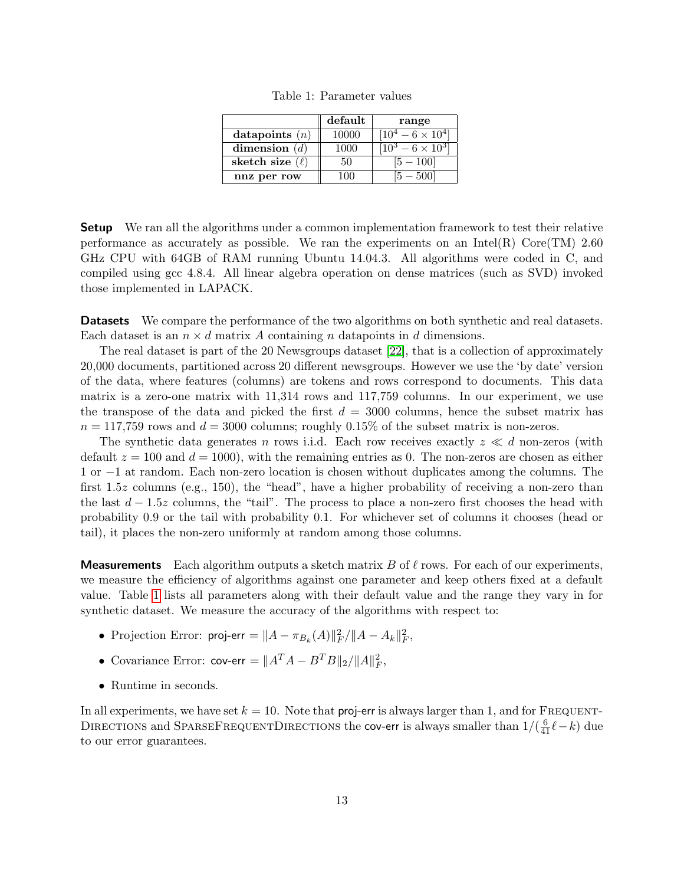|                      | default     | range                            |
|----------------------|-------------|----------------------------------|
| datapoints $(n)$     | 10000       | $10^4 - 6 \times 10^4$           |
| dimension $(d)$      | 1000        | $\frac{10^3 - 6 \times 10^3}{ }$ |
| sketch size $(\ell)$ | 50          |                                  |
| nnz per row          | $^{\prime}$ |                                  |

Table 1: Parameter values

<span id="page-12-0"></span>**Setup** We ran all the algorithms under a common implementation framework to test their relative performance as accurately as possible. We ran the experiments on an Intel(R) Core(TM) 2.60 GHz CPU with 64GB of RAM running Ubuntu 14.04.3. All algorithms were coded in C, and compiled using gcc 4.8.4. All linear algebra operation on dense matrices (such as SVD) invoked those implemented in LAPACK.

**Datasets** We compare the performance of the two algorithms on both synthetic and real datasets. Each dataset is an  $n \times d$  matrix A containing n datapoints in d dimensions.

The real dataset is part of the 20 Newsgroups dataset [\[22\]](#page-16-15), that is a collection of approximately 20,000 documents, partitioned across 20 different newsgroups. However we use the 'by date' version of the data, where features (columns) are tokens and rows correspond to documents. This data matrix is a zero-one matrix with 11,314 rows and 117,759 columns. In our experiment, we use the transpose of the data and picked the first  $d = 3000$  columns, hence the subset matrix has  $n = 117,759$  rows and  $d = 3000$  columns; roughly 0.15% of the subset matrix is non-zeros.

The synthetic data generates n rows i.i.d. Each row receives exactly  $z \ll d$  non-zeros (with default  $z = 100$  and  $d = 1000$ , with the remaining entries as 0. The non-zeros are chosen as either 1 or −1 at random. Each non-zero location is chosen without duplicates among the columns. The first 1.5z columns (e.g., 150), the "head", have a higher probability of receiving a non-zero than the last  $d - 1.5z$  columns, the "tail". The process to place a non-zero first chooses the head with probability 0.9 or the tail with probability 0.1. For whichever set of columns it chooses (head or tail), it places the non-zero uniformly at random among those columns.

**Measurements** Each algorithm outputs a sketch matrix B of  $\ell$  rows. For each of our experiments, we measure the efficiency of algorithms against one parameter and keep others fixed at a default value. Table [1](#page-12-0) lists all parameters along with their default value and the range they vary in for synthetic dataset. We measure the accuracy of the algorithms with respect to:

- Projection Error:  $\mathsf{proj\text{-}err} = ||A \pi_{B_k}(A)||_F^2/||A A_k||_F^2,$
- Covariance Error:  $\mathsf{cov}\text{-}\mathsf{err} = ||A^T A B^T B||_2 / ||A||_F^2$ ,
- Runtime in seconds.

In all experiments, we have set  $k = 10$ . Note that proj-err is always larger than 1, and for FREQUENT-DIRECTIONS and SPARSEFREQUENTDIRECTIONS the cov-err is always smaller than  $1/(\frac{6}{41}\ell - k)$  due to our error guarantees.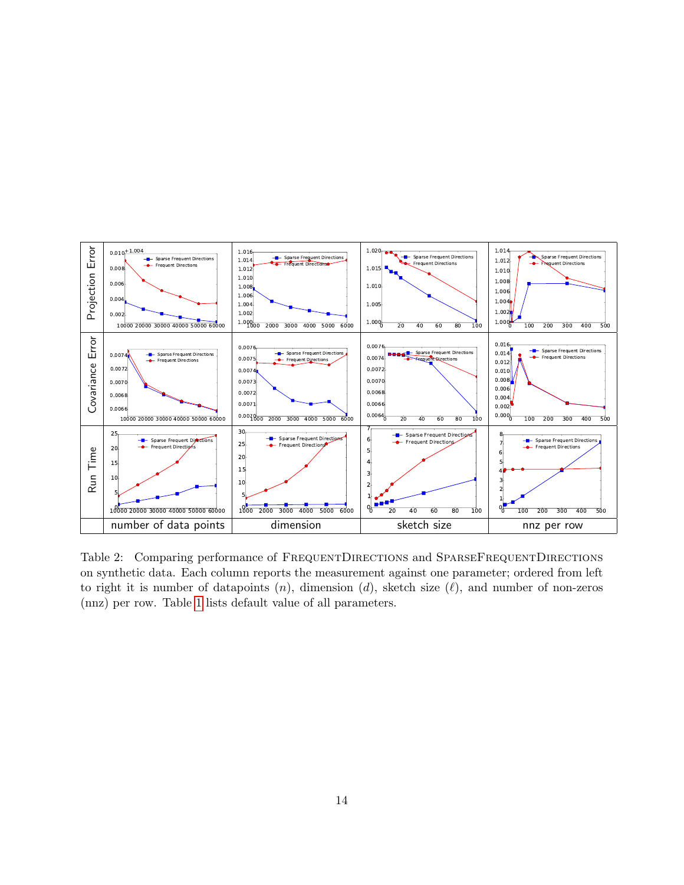

<span id="page-13-0"></span>Table 2: Comparing performance of FREQUENTDIRECTIONS and SPARSEFREQUENTDIRECTIONS on synthetic data. Each column reports the measurement against one parameter; ordered from left to right it is number of datapoints  $(n)$ , dimension  $(d)$ , sketch size  $(\ell)$ , and number of non-zeros (nnz) per row. Table [1](#page-12-0) lists default value of all parameters.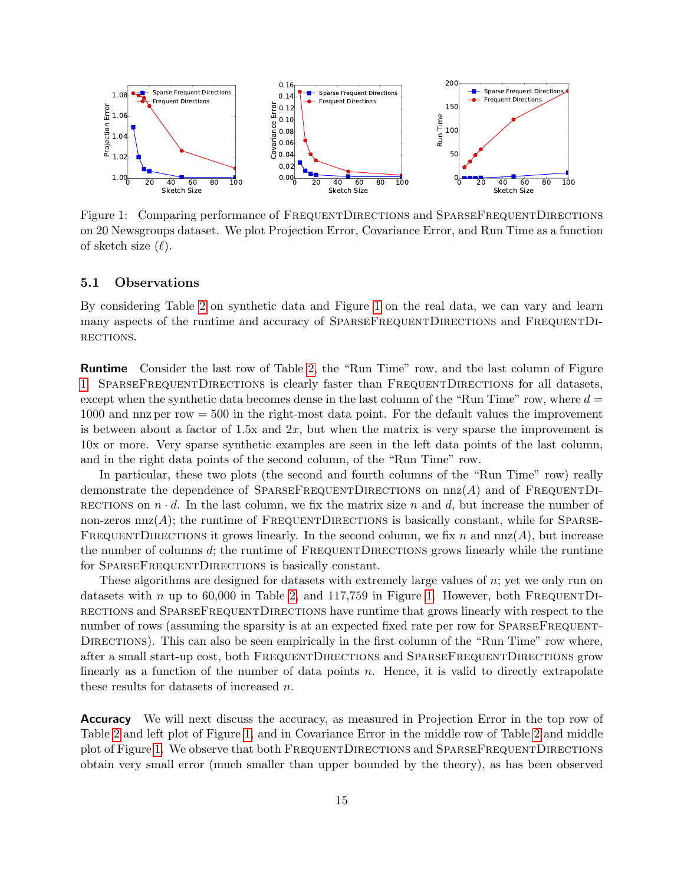

<span id="page-14-0"></span>Figure 1: Comparing performance of FREQUENTDIRECTIONS and SPARSEFREQUENTDIRECTIONS on 20 Newsgroups dataset. We plot Projection Error, Covariance Error, and Run Time as a function of sketch size  $(\ell)$ .

### 5.1 Observations

By considering Table [2](#page-13-0) on synthetic data and Figure [1](#page-14-0) on the real data, we can vary and learn many aspects of the runtime and accuracy of SPARSEFREQUENTDIRECTIONS and FREQUENTDI-RECTIONS.

Runtime Consider the last row of Table [2,](#page-13-0) the "Run Time" row, and the last column of Figure [1.](#page-14-0) SparseFrequentDirections is clearly faster than FrequentDirections for all datasets, except when the synthetic data becomes dense in the last column of the "Run Time" row, where  $d =$ 1000 and nnz per row = 500 in the right-most data point. For the default values the improvement is between about a factor of 1.5x and  $2x$ , but when the matrix is very sparse the improvement is 10x or more. Very sparse synthetic examples are seen in the left data points of the last column, and in the right data points of the second column, of the "Run Time" row.

In particular, these two plots (the second and fourth columns of the "Run Time" row) really demonstrate the dependence of SPARSEFREQUENTDIRECTIONS on  $nnz(A)$  and of FREQUENTDI-RECTIONS on  $n \cdot d$ . In the last column, we fix the matrix size n and d, but increase the number of non-zeros  $nnz(A)$ ; the runtime of FREQUENTDIRECTIONS is basically constant, while for SPARSE-FREQUENTDIRECTIONS it grows linearly. In the second column, we fix n and  $nnz(A)$ , but increase the number of columns  $d$ ; the runtime of FREQUENTDIRECTIONS grows linearly while the runtime for SPARSEFREQUENTDIRECTIONS is basically constant.

These algorithms are designed for datasets with extremely large values of  $n$ ; yet we only run on datasets with n up to 60,000 in Table [2,](#page-13-0) and  $117,759$  in Figure [1.](#page-14-0) However, both FREQUENTDIrections and SparseFrequentDirections have runtime that grows linearly with respect to the number of rows (assuming the sparsity is at an expected fixed rate per row for SPARSEFREQUENT-DIRECTIONS). This can also be seen empirically in the first column of the "Run Time" row where, after a small start-up cost, both FrequentDirections and SparseFrequentDirections grow linearly as a function of the number of data points  $n$ . Hence, it is valid to directly extrapolate these results for datasets of increased n.

Accuracy We will next discuss the accuracy, as measured in Projection Error in the top row of Table [2](#page-13-0) and left plot of Figure [1,](#page-14-0) and in Covariance Error in the middle row of Table [2](#page-13-0) and middle plot of Figure [1.](#page-14-0) We observe that both FrequentDirections and SparseFrequentDirections obtain very small error (much smaller than upper bounded by the theory), as has been observed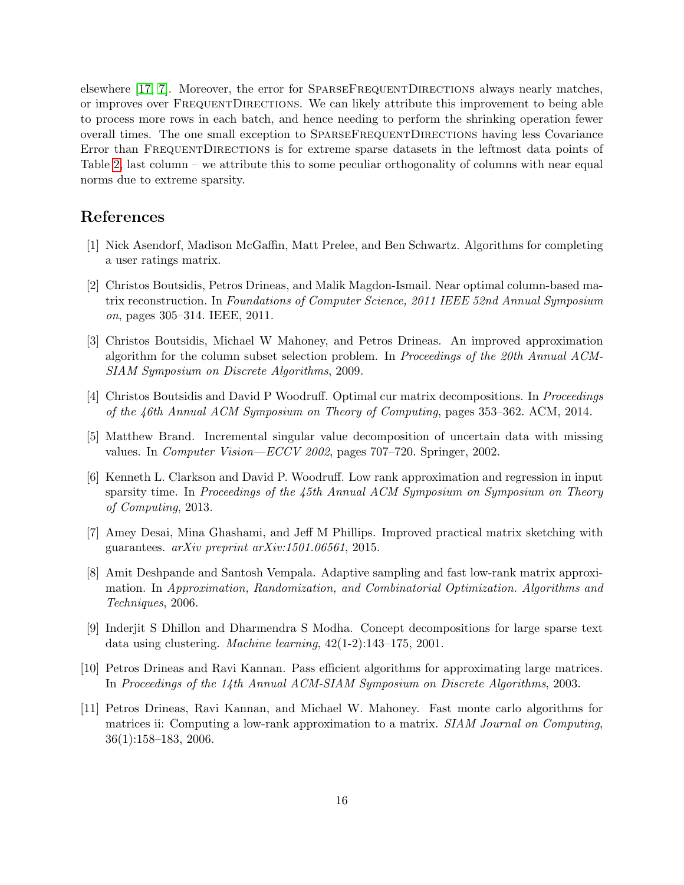elsewhere [\[17,](#page-16-3) [7\]](#page-15-9). Moreover, the error for SPARSEFREQUENTDIRECTIONS always nearly matches, or improves over FrequentDirections. We can likely attribute this improvement to being able to process more rows in each batch, and hence needing to perform the shrinking operation fewer overall times. The one small exception to SPARSEFREQUENTDIRECTIONS having less Covariance Error than FREQUENTDIRECTIONS is for extreme sparse datasets in the leftmost data points of Table [2,](#page-13-0) last column – we attribute this to some peculiar orthogonality of columns with near equal norms due to extreme sparsity.

## References

- <span id="page-15-1"></span>[1] Nick Asendorf, Madison McGaffin, Matt Prelee, and Ben Schwartz. Algorithms for completing a user ratings matrix.
- <span id="page-15-7"></span>[2] Christos Boutsidis, Petros Drineas, and Malik Magdon-Ismail. Near optimal column-based matrix reconstruction. In Foundations of Computer Science, 2011 IEEE 52nd Annual Symposium on, pages 305–314. IEEE, 2011.
- <span id="page-15-5"></span>[3] Christos Boutsidis, Michael W Mahoney, and Petros Drineas. An improved approximation algorithm for the column subset selection problem. In Proceedings of the 20th Annual ACM-SIAM Symposium on Discrete Algorithms, 2009.
- <span id="page-15-8"></span>[4] Christos Boutsidis and David P Woodruff. Optimal cur matrix decompositions. In Proceedings of the 46th Annual ACM Symposium on Theory of Computing, pages 353–362. ACM, 2014.
- <span id="page-15-10"></span>[5] Matthew Brand. Incremental singular value decomposition of uncertain data with missing values. In Computer Vision—ECCV 2002, pages 707–720. Springer, 2002.
- <span id="page-15-2"></span>[6] Kenneth L. Clarkson and David P. Woodruff. Low rank approximation and regression in input sparsity time. In Proceedings of the 45th Annual ACM Symposium on Symposium on Theory of Computing, 2013.
- <span id="page-15-9"></span>[7] Amey Desai, Mina Ghashami, and Jeff M Phillips. Improved practical matrix sketching with guarantees. arXiv preprint arXiv:1501.06561, 2015.
- <span id="page-15-6"></span>[8] Amit Deshpande and Santosh Vempala. Adaptive sampling and fast low-rank matrix approximation. In Approximation, Randomization, and Combinatorial Optimization. Algorithms and Techniques, 2006.
- <span id="page-15-0"></span>[9] Inderjit S Dhillon and Dharmendra S Modha. Concept decompositions for large sparse text data using clustering. Machine learning, 42(1-2):143–175, 2001.
- <span id="page-15-4"></span>[10] Petros Drineas and Ravi Kannan. Pass efficient algorithms for approximating large matrices. In Proceedings of the 14th Annual ACM-SIAM Symposium on Discrete Algorithms, 2003.
- <span id="page-15-3"></span>[11] Petros Drineas, Ravi Kannan, and Michael W. Mahoney. Fast monte carlo algorithms for matrices ii: Computing a low-rank approximation to a matrix. SIAM Journal on Computing, 36(1):158–183, 2006.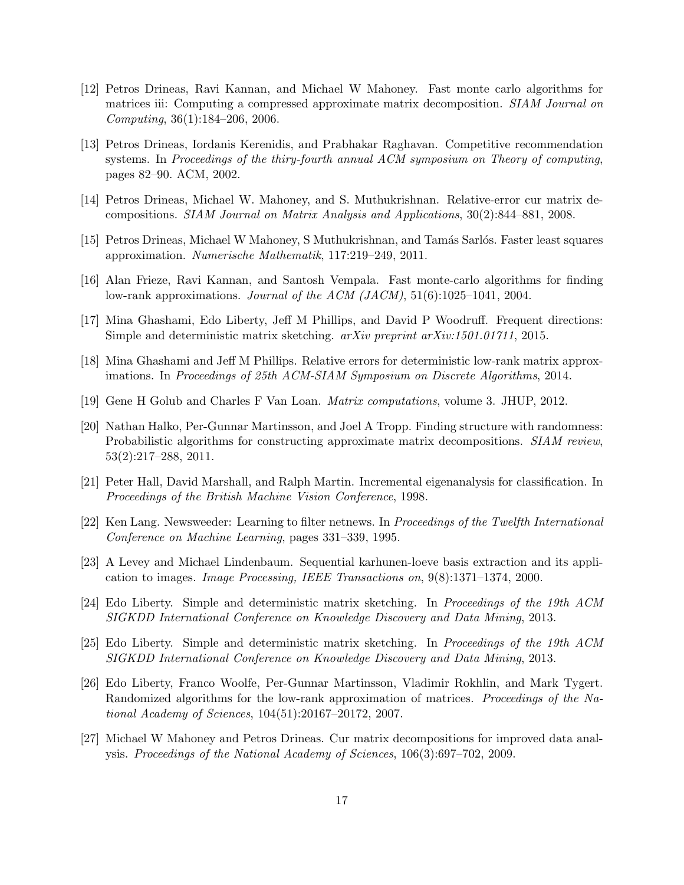- <span id="page-16-6"></span>[12] Petros Drineas, Ravi Kannan, and Michael W Mahoney. Fast monte carlo algorithms for matrices iii: Computing a compressed approximate matrix decomposition. *SIAM Journal on* Computing, 36(1):184–206, 2006.
- <span id="page-16-0"></span>[13] Petros Drineas, Iordanis Kerenidis, and Prabhakar Raghavan. Competitive recommendation systems. In Proceedings of the thiry-fourth annual ACM symposium on Theory of computing, pages 82–90. ACM, 2002.
- <span id="page-16-7"></span>[14] Petros Drineas, Michael W. Mahoney, and S. Muthukrishnan. Relative-error cur matrix decompositions. SIAM Journal on Matrix Analysis and Applications, 30(2):844–881, 2008.
- <span id="page-16-5"></span>[15] Petros Drineas, Michael W Mahoney, S Muthukrishnan, and Tamás Sarlós. Faster least squares approximation. Numerische Mathematik, 117:219–249, 2011.
- <span id="page-16-4"></span>[16] Alan Frieze, Ravi Kannan, and Santosh Vempala. Fast monte-carlo algorithms for finding low-rank approximations. Journal of the ACM (JACM), 51(6):1025–1041, 2004.
- <span id="page-16-3"></span>[17] Mina Ghashami, Edo Liberty, Jeff M Phillips, and David P Woodruff. Frequent directions: Simple and deterministic matrix sketching. arXiv preprint arXiv:1501.01711, 2015.
- <span id="page-16-12"></span>[18] Mina Ghashami and Jeff M Phillips. Relative errors for deterministic low-rank matrix approximations. In Proceedings of 25th ACM-SIAM Symposium on Discrete Algorithms, 2014.
- <span id="page-16-1"></span>[19] Gene H Golub and Charles F Van Loan. Matrix computations, volume 3. JHUP, 2012.
- <span id="page-16-13"></span>[20] Nathan Halko, Per-Gunnar Martinsson, and Joel A Tropp. Finding structure with randomness: Probabilistic algorithms for constructing approximate matrix decompositions. *SIAM review*, 53(2):217–288, 2011.
- <span id="page-16-10"></span>[21] Peter Hall, David Marshall, and Ralph Martin. Incremental eigenanalysis for classification. In Proceedings of the British Machine Vision Conference, 1998.
- <span id="page-16-15"></span>[22] Ken Lang. Newsweeder: Learning to filter netnews. In Proceedings of the Twelfth International Conference on Machine Learning, pages 331–339, 1995.
- <span id="page-16-11"></span>[23] A Levey and Michael Lindenbaum. Sequential karhunen-loeve basis extraction and its application to images. Image Processing, IEEE Transactions on, 9(8):1371–1374, 2000.
- <span id="page-16-2"></span>[24] Edo Liberty. Simple and deterministic matrix sketching. In Proceedings of the 19th ACM SIGKDD International Conference on Knowledge Discovery and Data Mining, 2013.
- <span id="page-16-14"></span>[25] Edo Liberty. Simple and deterministic matrix sketching. In Proceedings of the 19th ACM SIGKDD International Conference on Knowledge Discovery and Data Mining, 2013.
- <span id="page-16-9"></span>[26] Edo Liberty, Franco Woolfe, Per-Gunnar Martinsson, Vladimir Rokhlin, and Mark Tygert. Randomized algorithms for the low-rank approximation of matrices. Proceedings of the National Academy of Sciences, 104(51):20167–20172, 2007.
- <span id="page-16-8"></span>[27] Michael W Mahoney and Petros Drineas. Cur matrix decompositions for improved data analysis. Proceedings of the National Academy of Sciences, 106(3):697–702, 2009.